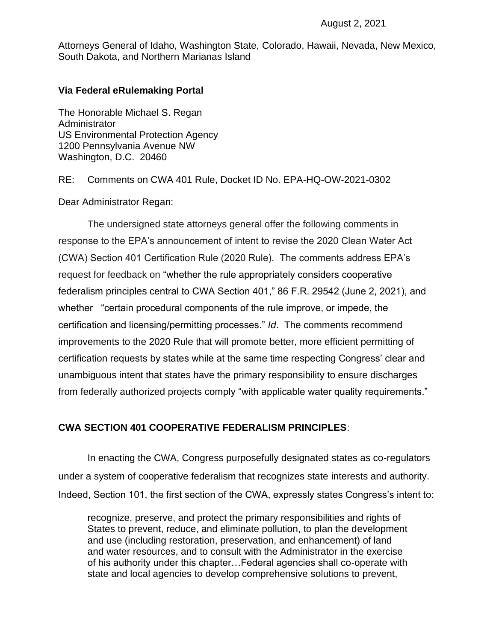Attorneys General of Idaho, Washington State, Colorado, Hawaii, Nevada, New Mexico, South Dakota, and Northern Marianas Island

### **Via Federal eRulemaking Portal**

The Honorable Michael S. Regan **Administrator** US Environmental Protection Agency 1200 Pennsylvania Avenue NW Washington, D.C. 20460

RE: Comments on CWA 401 Rule, Docket ID No. EPA-HQ-OW-2021-0302

Dear Administrator Regan:

The undersigned state attorneys general offer the following comments in response to the EPA's announcement of intent to revise the 2020 Clean Water Act (CWA) Section 401 Certification Rule (2020 Rule). The comments address EPA's request for feedback on "whether the rule appropriately considers cooperative federalism principles central to CWA Section 401," 86 F.R. 29542 (June 2, 2021), and whether "certain procedural components of the rule improve, or impede, the certification and licensing/permitting processes." *Id*. The comments recommend improvements to the 2020 Rule that will promote better, more efficient permitting of certification requests by states while at the same time respecting Congress' clear and unambiguous intent that states have the primary responsibility to ensure discharges from federally authorized projects comply "with applicable water quality requirements."

## **CWA SECTION 401 COOPERATIVE FEDERALISM PRINCIPLES**:

In enacting the CWA, Congress purposefully designated states as co-regulators under a system of cooperative federalism that recognizes state interests and authority. Indeed, Section 101, the first section of the CWA, expressly states Congress's intent to:

recognize, preserve, and protect the primary responsibilities and rights of States to prevent, reduce, and eliminate pollution, to plan the development and use (including restoration, preservation, and enhancement) of land and water resources, and to consult with the Administrator in the exercise of his authority under this chapter…Federal agencies shall co-operate with state and local agencies to develop comprehensive solutions to prevent,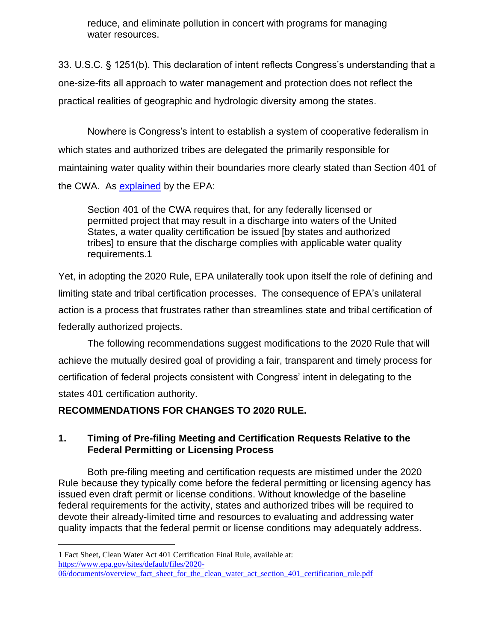reduce, and eliminate pollution in concert with programs for managing water resources.

33. U.S.C. § 1251(b). This declaration of intent reflects Congress's understanding that a one-size-fits all approach to water management and protection does not reflect the practical realities of geographic and hydrologic diversity among the states.

Nowhere is Congress's intent to establish a system of cooperative federalism in which states and authorized tribes are delegated the primarily responsible for maintaining water quality within their boundaries more clearly stated than Section 401 of the CWA. As [explained](https://www.epa.gov/sites/production/files/2020-06/documents/overview_fact_sheet_for_the_clean_water_act_section_401_certification_rule.pdf) by the EPA:

Section 401 of the CWA requires that, for any federally licensed or permitted project that may result in a discharge into waters of the United States, a water quality certification be issued [by states and authorized tribes] to ensure that the discharge complies with applicable water quality requirements.1

Yet, in adopting the 2020 Rule, EPA unilaterally took upon itself the role of defining and limiting state and tribal certification processes. The consequence of EPA's unilateral action is a process that frustrates rather than streamlines state and tribal certification of federally authorized projects.

The following recommendations suggest modifications to the 2020 Rule that will achieve the mutually desired goal of providing a fair, transparent and timely process for certification of federal projects consistent with Congress' intent in delegating to the states 401 certification authority.

# **RECOMMENDATIONS FOR CHANGES TO 2020 RULE.**

## **1. Timing of Pre-filing Meeting and Certification Requests Relative to the Federal Permitting or Licensing Process**

Both pre-filing meeting and certification requests are mistimed under the 2020 Rule because they typically come before the federal permitting or licensing agency has issued even draft permit or license conditions. Without knowledge of the baseline federal requirements for the activity, states and authorized tribes will be required to devote their already-limited time and resources to evaluating and addressing water quality impacts that the federal permit or license conditions may adequately address.

<sup>1</sup> Fact Sheet, Clean Water Act 401 Certification Final Rule, available at: [https://www.epa.gov/sites/default/files/2020-](https://www.epa.gov/sites/default/files/2020-06/documents/overview_fact_sheet_for_the_clean_water_act_section_401_certification_rule.pdf)

[<sup>06/</sup>documents/overview\\_fact\\_sheet\\_for\\_the\\_clean\\_water\\_act\\_section\\_401\\_certification\\_rule.pdf](https://www.epa.gov/sites/default/files/2020-06/documents/overview_fact_sheet_for_the_clean_water_act_section_401_certification_rule.pdf)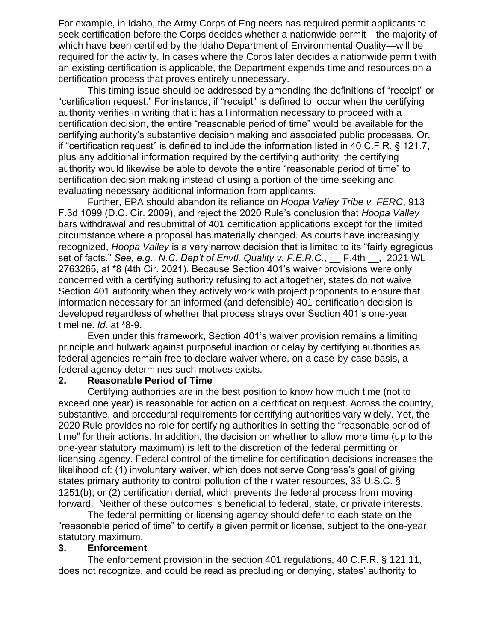For example, in Idaho, the Army Corps of Engineers has required permit applicants to seek certification before the Corps decides whether a nationwide permit—the majority of which have been certified by the Idaho Department of Environmental Quality—will be required for the activity. In cases where the Corps later decides a nationwide permit with an existing certification is applicable, the Department expends time and resources on a certification process that proves entirely unnecessary.

This timing issue should be addressed by amending the definitions of "receipt" or "certification request." For instance, if "receipt" is defined to occur when the certifying authority verifies in writing that it has all information necessary to proceed with a certification decision, the entire "reasonable period of time" would be available for the certifying authority's substantive decision making and associated public processes. Or, if "certification request" is defined to include the information listed in 40 C.F.R. § 121.7, plus any additional information required by the certifying authority, the certifying authority would likewise be able to devote the entire "reasonable period of time" to certification decision making instead of using a portion of the time seeking and evaluating necessary additional information from applicants.

Further, EPA should abandon its reliance on *Hoopa Valley Tribe v. FERC*, 913 F.3d 1099 (D.C. Cir. 2009), and reject the 2020 Rule's conclusion that *Hoopa Valley*  bars withdrawal and resubmittal of 401 certification applications except for the limited circumstance where a proposal has materially changed. As courts have increasingly recognized, *Hoopa Valley* is a very narrow decision that is limited to its "fairly egregious set of facts." *See, e.g., N.C. Dep't of Envtl. Quality v. F.E.R.C.*, \_\_ F.4th \_\_, 2021 WL 2763265, at \*8 (4th Cir. 2021). Because Section 401's waiver provisions were only concerned with a certifying authority refusing to act altogether, states do not waive Section 401 authority when they actively work with project proponents to ensure that information necessary for an informed (and defensible) 401 certification decision is developed regardless of whether that process strays over Section 401's one-year timeline. *Id*. at \*8-9.

Even under this framework, Section 401's waiver provision remains a limiting principle and bulwark against purposeful inaction or delay by certifying authorities as federal agencies remain free to declare waiver where, on a case-by-case basis, a federal agency determines such motives exists.

#### **2. Reasonable Period of Time**

Certifying authorities are in the best position to know how much time (not to exceed one year) is reasonable for action on a certification request. Across the country, substantive, and procedural requirements for certifying authorities vary widely. Yet, the 2020 Rule provides no role for certifying authorities in setting the "reasonable period of time" for their actions. In addition, the decision on whether to allow more time (up to the one-year statutory maximum) is left to the discretion of the federal permitting or licensing agency. Federal control of the timeline for certification decisions increases the likelihood of: (1) involuntary waiver, which does not serve Congress's goal of giving states primary authority to control pollution of their water resources, 33 U.S.C. § 1251(b); or (2) certification denial, which prevents the federal process from moving forward. Neither of these outcomes is beneficial to federal, state, or private interests.

The federal permitting or licensing agency should defer to each state on the "reasonable period of time" to certify a given permit or license, subject to the one-year statutory maximum.

#### **3. Enforcement**

The enforcement provision in the section 401 regulations, 40 C.F.R. § 121.11, does not recognize, and could be read as precluding or denying, states' authority to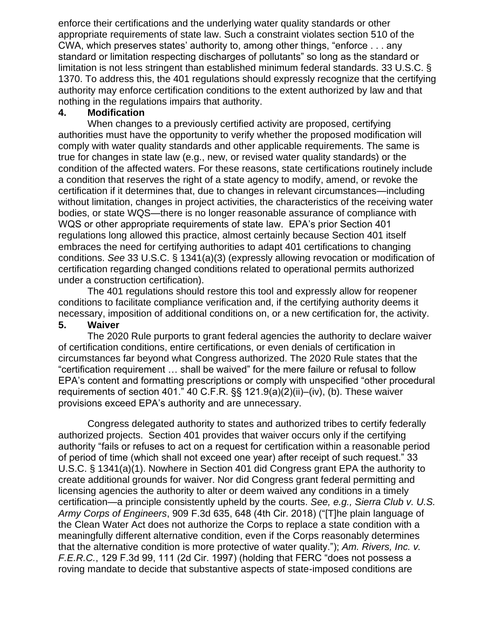enforce their certifications and the underlying water quality standards or other appropriate requirements of state law. Such a constraint violates section 510 of the CWA, which preserves states' authority to, among other things, "enforce . . . any standard or limitation respecting discharges of pollutants" so long as the standard or limitation is not less stringent than established minimum federal standards. 33 U.S.C. § 1370. To address this, the 401 regulations should expressly recognize that the certifying authority may enforce certification conditions to the extent authorized by law and that nothing in the regulations impairs that authority.

## **4. Modification**

When changes to a previously certified activity are proposed, certifying authorities must have the opportunity to verify whether the proposed modification will comply with water quality standards and other applicable requirements. The same is true for changes in state law (e.g., new, or revised water quality standards) or the condition of the affected waters. For these reasons, state certifications routinely include a condition that reserves the right of a state agency to modify, amend, or revoke the certification if it determines that, due to changes in relevant circumstances—including without limitation, changes in project activities, the characteristics of the receiving water bodies, or state WQS—there is no longer reasonable assurance of compliance with WQS or other appropriate requirements of state law. EPA's prior Section 401 regulations long allowed this practice, almost certainly because Section 401 itself embraces the need for certifying authorities to adapt 401 certifications to changing conditions. *See* 33 U.S.C. § 1341(a)(3) (expressly allowing revocation or modification of certification regarding changed conditions related to operational permits authorized under a construction certification).

The 401 regulations should restore this tool and expressly allow for reopener conditions to facilitate compliance verification and, if the certifying authority deems it necessary, imposition of additional conditions on, or a new certification for, the activity.

## **5. Waiver**

The 2020 Rule purports to grant federal agencies the authority to declare waiver of certification conditions, entire certifications, or even denials of certification in circumstances far beyond what Congress authorized. The 2020 Rule states that the "certification requirement … shall be waived" for the mere failure or refusal to follow EPA's content and formatting prescriptions or comply with unspecified "other procedural requirements of section 401." 40 C.F.R. §§ 121.9(a)(2)(ii)–(iv), (b). These waiver provisions exceed EPA's authority and are unnecessary.

Congress delegated authority to states and authorized tribes to certify federally authorized projects. Section 401 provides that waiver occurs only if the certifying authority "fails or refuses to act on a request for certification within a reasonable period of period of time (which shall not exceed one year) after receipt of such request." 33 U.S.C. § 1341(a)(1). Nowhere in Section 401 did Congress grant EPA the authority to create additional grounds for waiver. Nor did Congress grant federal permitting and licensing agencies the authority to alter or deem waived any conditions in a timely certification—a principle consistently upheld by the courts. *See, e.g., Sierra Club v. U.S. Army Corps of Engineers*, 909 F.3d 635, 648 (4th Cir. 2018) ("[T]he plain language of the Clean Water Act does not authorize the Corps to replace a state condition with a meaningfully different alternative condition, even if the Corps reasonably determines that the alternative condition is more protective of water quality."); *Am. Rivers, Inc. v. F.E.R.C.*, 129 F.3d 99, 111 (2d Cir. 1997) (holding that FERC "does not possess a roving mandate to decide that substantive aspects of state-imposed conditions are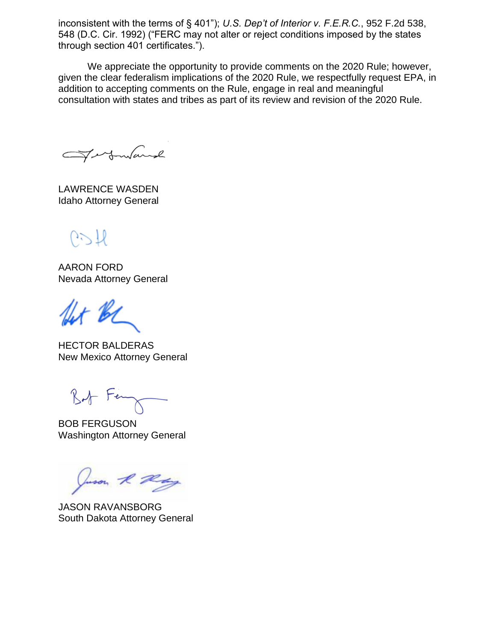inconsistent with the terms of § 401"); *U.S. Dep't of Interior v. F.E.R.C.*, 952 F.2d 538, 548 (D.C. Cir. 1992) ("FERC may not alter or reject conditions imposed by the states through section 401 certificates.").

We appreciate the opportunity to provide comments on the 2020 Rule; however, given the clear federalism implications of the 2020 Rule, we respectfully request EPA, in addition to accepting comments on the Rule, engage in real and meaningful consultation with states and tribes as part of its review and revision of the 2020 Rule.

Fortmand

LAWRENCE WASDEN Idaho Attorney General

 $0.77$ 

AARON FORD Nevada Attorney General

It BL

HECTOR BALDERAS New Mexico Attorney General

Bot Ferry

BOB FERGUSON Washington Attorney General

Juson R Ray

JASON RAVANSBORG South Dakota Attorney General